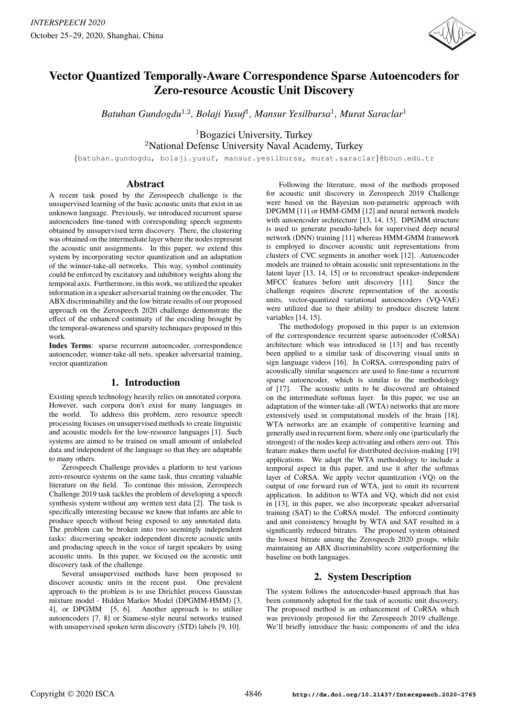

# **Vector Quantized Temporally-Aware Correspondence Sparse Autoencoders for Zero-resource Acoustic Unit Discovery**

*Batuhan Gundogdu*<sup>1</sup>,<sup>2</sup> *, Bolaji Yusuf*<sup>1</sup> *, Mansur Yesilbursa*<sup>1</sup> *, Murat Saraclar*<sup>1</sup>

<sup>1</sup>Bogazici University, Turkey <sup>2</sup>National Defense University Naval Academy, Turkey

{batuhan.gundogdu, bolaji.yusuf, mansur.yesilbursa, murat.saraclar}@boun.edu.tr

## **Abstract**

A recent task posed by the Zerospeech challenge is the unsupervised learning of the basic acoustic units that exist in an unknown language. Previously, we introduced recurrent sparse autoencoders fine-tuned with corresponding speech segments obtained by unsupervised term discovery. There, the clustering was obtained on the intermediate layer where the nodes represent the acoustic unit assignments. In this paper, we extend this system by incorporating vector quantization and an adaptation of the winner-take-all networks. This way, symbol continuity could be enforced by excitatory and inhibitory weights along the temporal axis. Furthermore, in this work, we utilized the speaker information in a speaker adversarial training on the encoder. The ABX discriminability and the low bitrate results of our proposed approach on the Zerospeech 2020 challenge demonstrate the effect of the enhanced continuity of the encoding brought by the temporal-awareness and sparsity techniques proposed in this work.

**Index Terms**: sparse recurrent autoencoder, correspondence autoencoder, winner-take-all nets, speaker adversarial training, vector quantization

# **1. Introduction**

Existing speech technology heavily relies on annotated corpora. However, such corpora don't exist for many languages in the world. To address this problem, zero resource speech processing focuses on unsupervised methods to create linguistic and acoustic models for the low-resource languages [1]. Such systems are aimed to be trained on small amount of unlabeled data and independent of the language so that they are adaptable to many others.

Zerospeech Challenge provides a platform to test various zero-resource systems on the same task, thus creating valuable literature on the field. To continue this mission, Zerospeech Challenge 2019 task tackles the problem of developing a speech synthesis system without any written text data [2]. The task is specifically interesting because we know that infants are able to produce speech without being exposed to any annotated data. The problem can be broken into two seemingly independent tasks: discovering speaker independent discrete acoustic units and producing speech in the voice of target speakers by using acoustic units. In this paper, we focused on the acoustic unit discovery task of the challenge.

Several unsupervised methods have been proposed to discover acoustic units in the recent past. One prevalent approach to the problem is to use Dirichlet process Gaussian mixture model - Hidden Markov Model (DPGMM-HMM) [3, 4], or DPGMM [5, 6]. Another approach is to utilize autoencoders [7, 8] or Siamese-style neural networks trained with unsupervised spoken term discovery (STD) labels [9, 10].

Following the literature, most of the methods proposed for acoustic unit discovery in Zerospeech 2019 Challenge were based on the Bayesian non-parametric approach with DPGMM [11] or HMM-GMM [12] and neural network models with autoencoder architecture [13, 14, 15]. DPGMM structure is used to generate pseudo-labels for supervised deep neural network (DNN) training [11] whereas HMM-GMM framework is employed to discover acoustic unit representations from clusters of CVC segments in another work [12]. Autoencoder models are trained to obtain acoustic unit representations in the latent layer [13, 14, 15] or to reconstruct speaker-independent MFCC features before unit discovery [11]. Since the challenge requires discrete representation of the acoustic units, vector-quantized variational autoencoders (VQ-VAE) were utilized due to their ability to produce discrete latent variables [14, 15].

The methodology proposed in this paper is an extension of the correspondence recurrent sparse autoencoder (CoRSA) architecture which was introduced in [13] and has recently been applied to a similar task of discovering visual units in sign language videos [16]. In CoRSA, corresponding pairs of acoustically similar sequences are used to fine-tune a recurrent sparse autoencoder, which is similar to the methodology of [17]. The acoustic units to be discovered are obtained on the intermediate softmax layer. In this paper, we use an adaptation of the winner-take-all (WTA) networks that are more extensively used in computational models of the brain [18]. WTA networks are an example of competitive learning and generally used in recurrent form, where only one (particularly the strongest) of the nodes keep activating and others zero out. This feature makes them useful for distributed decision-making [19] applications. We adapt the WTA methodology to include a temporal aspect in this paper, and use it after the softmax layer of CoRSA. We apply vector quantization (VQ) on the output of one forward run of WTA, just to omit its recurrent application. In addition to WTA and VQ, which did not exist in [13], in this paper, we also incorporate speaker adversarial training (SAT) to the CoRSA model. The enforced continuity and unit consistency brought by WTA and SAT resulted in a significantly reduced bitrates. The proposed system obtained the lowest bitrate among the Zerospeech 2020 groups, while maintaining an ABX discriminability score outperforming the baseline on both languages.

# **2. System Description**

The system follows the autoencoder-based approach that has been commonly adopted for the task of acoustic unit discovery. The proposed method is an enhancement of CoRSA which was previously proposed for the Zerospeech 2019 challenge. We'll briefly introduce the basic components of and the idea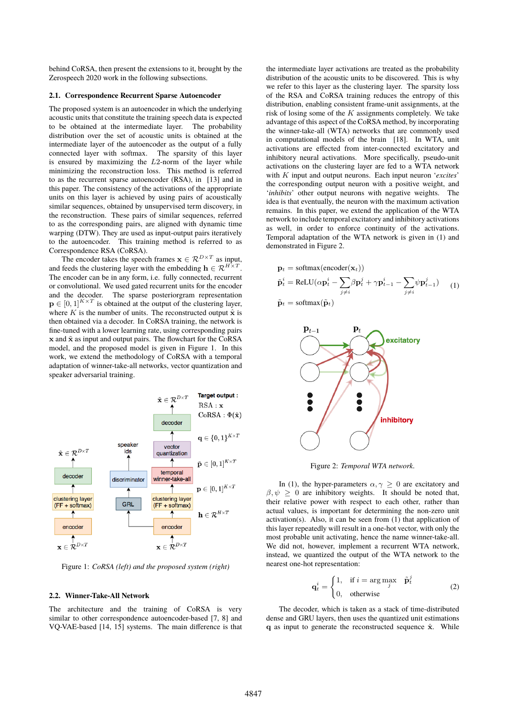behind CoRSA, then present the extensions to it, brought by the Zerospeech 2020 work in the following subsections.

#### **2.1. Correspondence Recurrent Sparse Autoencoder**

The proposed system is an autoencoder in which the underlying acoustic units that constitute the training speech data is expected to be obtained at the intermediate layer. The probability distribution over the set of acoustic units is obtained at the intermediate layer of the autoencoder as the output of a fully connected layer with softmax. The sparsity of this layer is ensured by maximizing the  $L2$ -norm of the layer while minimizing the reconstruction loss. This method is referred to as the recurrent sparse autoencoder (RSA), in [13] and in this paper. The consistency of the activations of the appropriate units on this layer is achieved by using pairs of acoustically similar sequences, obtained by unsupervised term discovery, in the reconstruction. These pairs of similar sequences, referred to as the corresponding pairs, are aligned with dynamic time warping (DTW). They are used as input-output pairs iteratively to the autoencoder. This training method is referred to as Correspondence RSA (CoRSA).

The encoder takes the speech frames  $\mathbf{x} \in \mathcal{R}^{D \times T}$  as input, and feeds the clustering layer with the embedding  $\mathbf{h} \in \mathcal{R}^{H \times T}$ . The encoder can be in any form, i.e. fully connected, recurrent or convolutional. We used gated recurrent units for the encoder and the decoder. The sparse posteriorgram representation  $\mathbf{p} \in [0,1]^{K \times T}$  is obtained at the output of the clustering layer, where K is the number of units. The reconstructed output  $\hat{x}$  is then obtained via a decoder. In CoRSA training, the network is fine-tuned with a lower learning rate, using corresponding pairs  $x$  and  $\tilde{x}$  as input and output pairs. The flowchart for the CoRSA model, and the proposed model is given in Figure 1. In this work, we extend the methodology of CoRSA with a temporal adaptation of winner-take-all networks, vector quantization and speaker adversarial training.



Figure 1: *CoRSA (left) and the proposed system (right)*

#### **2.2. Winner-Take-All Network**

The architecture and the training of CoRSA is very similar to other correspondence autoencoder-based [7, 8] and VQ-VAE-based [14, 15] systems. The main difference is that the intermediate layer activations are treated as the probability distribution of the acoustic units to be discovered. This is why we refer to this layer as the clustering layer. The sparsity loss of the RSA and CoRSA training reduces the entropy of this distribution, enabling consistent frame-unit assignments, at the risk of losing some of the  $K$  assignments completely. We take advantage of this aspect of the CoRSA method, by incorporating the winner-take-all (WTA) networks that are commonly used in computational models of the brain [18]. In WTA, unit activations are effected from inter-connected excitatory and inhibitory neural activations. More specifically, pseudo-unit activations on the clustering layer are fed to a WTA network with K input and output neurons. Each input neuron '*excites*' the corresponding output neuron with a positive weight, and '*inhibits*' other output neurons with negative weights. The idea is that eventually, the neuron with the maximum activation remains. In this paper, we extend the application of the WTA network to include temporal excitatory and inhibitory activations as well, in order to enforce continuity of the activations. Temporal adaptation of the WTA network is given in (1) and demonstrated in Figure 2.

$$
\mathbf{p}_t = \text{softmax}(\text{encoder}(\mathbf{x}_t))
$$
\n
$$
\tilde{\mathbf{p}}_t^i = \text{ReLU}(\alpha \mathbf{p}_t^i - \sum_{j \neq i} \beta \mathbf{p}_t^j + \gamma \mathbf{p}_{t-1}^i - \sum_{j \neq i} \psi \mathbf{p}_{t-1}^j)
$$
\n
$$
\tilde{\mathbf{p}} = \text{softmax}(\tilde{\mathbf{p}})
$$

$$
\tilde{\mathbf{p}}_t = \text{softmax}(\tilde{\mathbf{p}}_t)
$$



Figure 2: *Temporal WTA network.*

In (1), the hyper-parameters  $\alpha, \gamma \geq 0$  are excitatory and  $\beta, \psi \geq 0$  are inhibitory weights. It should be noted that, their relative power with respect to each other, rather than actual values, is important for determining the non-zero unit  $activation(s)$ . Also, it can be seen from  $(1)$  that application of this layer repeatedly will result in a one-hot vector, with only the most probable unit activating, hence the name winner-take-all. We did not, however, implement a recurrent WTA network, instead, we quantized the output of the WTA network to the nearest one-hot representation:

$$
\mathbf{q}_t^i = \begin{cases} 1, & \text{if } i = \arg \max_j & \tilde{\mathbf{p}}_t^j \\ 0, & \text{otherwise} \end{cases}
$$
 (2)

The decoder, which is taken as a stack of time-distributed dense and GRU layers, then uses the quantized unit estimations q as input to generate the reconstructed sequence  $\hat{x}$ . While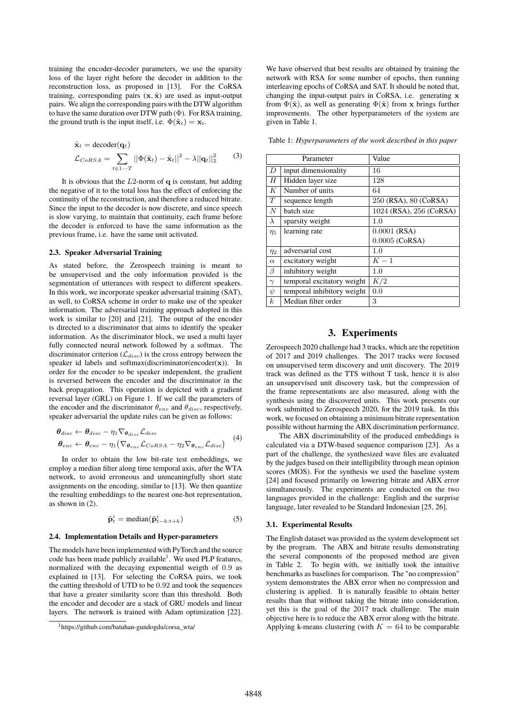training the encoder-decoder parameters, we use the sparsity loss of the layer right before the decoder in addition to the reconstruction loss, as proposed in [13]. For the CoRSA training, corresponding pairs  $(x, \tilde{x})$  are used as input-output pairs. We align the corresponding pairs with the DTW algorithm to have the same duration over DTW path ( $\Phi$ ). For RSA training, the ground truth is the input itself, i.e.  $\Phi(\tilde{\mathbf{x}}_t) = \mathbf{x}_t$ .

$$
\hat{\mathbf{x}}_t = \text{decoder}(\mathbf{q}_t)
$$
  

$$
\mathcal{L}_{CoRSA} = \sum_{t \in 1 \cdots T} ||\Phi(\tilde{\mathbf{x}}_t) - \hat{\mathbf{x}}_t||^2 - \lambda ||\mathbf{q}_t||_2^2
$$
 (3)

It is obvious that the  $L2$ -norm of  $q$  is constant, but adding the negative of it to the total loss has the effect of enforcing the continuity of the reconstruction, and therefore a reduced bitrate. Since the input to the decoder is now discrete, and since speech is slow varying, to maintain that continuity, each frame before the decoder is enforced to have the same information as the previous frame, i.e. have the same unit activated.

#### **2.3. Speaker Adversarial Training**

As stated before, the Zerospeech training is meant to be unsupervised and the only information provided is the segmentation of utterances with respect to different speakers. In this work, we incorporate speaker adversarial training (SAT), as well, to CoRSA scheme in order to make use of the speaker information. The adversarial training approach adopted in this work is similar to [20] and [21]. The output of the encoder is directed to a discriminator that aims to identify the speaker information. As the discriminator block, we used a multi layer fully connected neural network followed by a softmax. The discriminator criterion  $(\mathcal{L}_{disc})$  is the cross entropy between the speaker id labels and softmax(discriminator(encoder(x)). In order for the encoder to be speaker independent, the gradient is reversed between the encoder and the discriminator in the back propagation. This operation is depicted with a gradient reversal layer (GRL) on Figure 1. If we call the parameters of the encoder and the discriminator  $\theta_{enc}$  and  $\theta_{disc}$ , respectively, speaker adversarial the update rules can be given as follows:

$$
\theta_{disc} \leftarrow \theta_{disc} - \eta_1 \nabla_{\theta_{disc}} \mathcal{L}_{disc}
$$
\n
$$
\theta_{enc} \leftarrow \theta_{enc} - \eta_1 \left( \nabla_{\theta_{enc}} \mathcal{L}_{CORSA} - \eta_2 \nabla_{\theta_{enc}} \mathcal{L}_{disc} \right)
$$
\n(4)

In order to obtain the low bit-rate test embeddings, we employ a median filter along time temporal axis, after the WTA network, to avoid erroneous and unmeaningfully short state assignments on the encoding, similar to [13]. We then quantize the resulting embeddings to the nearest one-hot representation, as shown in (2).

$$
\tilde{\mathbf{p}}_t^i = \text{median}(\tilde{\mathbf{p}}_{t-k:t+k}^i) \tag{5}
$$

## **2.4. Implementation Details and Hyper-parameters**

The models have been implemented with PyTorch and the source code has been made publicly available<sup>1</sup>. We used PLP features, normalized with the decaying exponential weigth of 0.9 as explained in [13]. For selecting the CoRSA pairs, we took the cutting threshold of UTD to be 0.92 and took the sequences that have a greater similarity score than this threshold. Both the encoder and decoder are a stack of GRU models and linear layers. The network is trained with Adam optimization [22]. We have observed that best results are obtained by training the network with RSA for some number of epochs, then running interleaving epochs of CoRSA and SAT. It should be noted that, changing the input-output pairs in CoRSA, i.e. generating x from  $\Phi(\tilde{\mathbf{x}})$ , as well as generating  $\Phi(\tilde{\mathbf{x}})$  from x brings further improvements. The other hyperparameters of the system are given in Table 1.

Table 1: *Hyperparameters of the work described in this paper*

|                  | Parameter                  | Value                   |
|------------------|----------------------------|-------------------------|
| D                | input dimensionality       | 16                      |
| Η                | Hidden layer size          | 128                     |
| K                | Number of units            | 64                      |
| T                | sequence length            | 250 (RSA), 80 (CoRSA)   |
| $\overline{N}$   | batch size                 | 1024 (RSA), 256 (CoRSA) |
| $\lambda$        | sparsity weight            | 1.0                     |
| $\eta_1$         | learning rate              | $0.0001$ (RSA)          |
|                  |                            | $0.0005$ (CoRSA)        |
| $\eta_2$         | adversarial cost           | 1.0                     |
| $\alpha$         | excitatory weight          | $K-1$                   |
| β                | inhibitory weight          | 1.0                     |
| $\gamma$         | temporal excitatory weight | K/2                     |
| $\psi$           | temporal inhibitory weight | 0.0                     |
| $\boldsymbol{k}$ | Median filter order        | 3                       |

# **3. Experiments**

Zerospeech 2020 challenge had 3 tracks, which are the repetition of 2017 and 2019 challenges. The 2017 tracks were focused on unsupervised term discovery and unit discovery. The 2019 track was defined as the TTS without T task, hence it is also an unsupervised unit discovery task, but the compression of the frame representations are also measured, along with the synthesis using the discovered units. This work presents our work submitted to Zerospeech 2020, for the 2019 task. In this work, we focused on obtaining a minimum bitrate representation possible without harming the ABX discrimination performance.

The ABX discriminability of the produced embeddings is calculated via a DTW-based sequence comparison [23]. As a part of the challenge, the synthesized wave files are evaluated by the judges based on their intelligibility through mean opinion scores (MOS). For the synthesis we used the baseline system [24] and focused primarily on lowering bitrate and ABX error simultaneously. The experiments are conducted on the two languages provided in the challenge: English and the surprise language, later revealed to be Standard Indonesian [25, 26].

### **3.1. Experimental Results**

The English dataset was provided as the system development set by the program. The ABX and bitrate results demonstrating the several components of the proposed method are given in Table 2. To begin with, we initially took the intuitive benchmarks as baselines for comparison. The "no compression" system demonstrates the ABX error when no compression and clustering is applied. It is naturally feasible to obtain better results than that without taking the bitrate into consideration, yet this is the goal of the 2017 track challenge. The main objective here is to reduce the ABX error along with the bitrate. Applying k-means clustering (with  $K = 64$  to be comparable

<sup>1</sup>https://github.com/batuhan-gundogdu/corsa\_wta/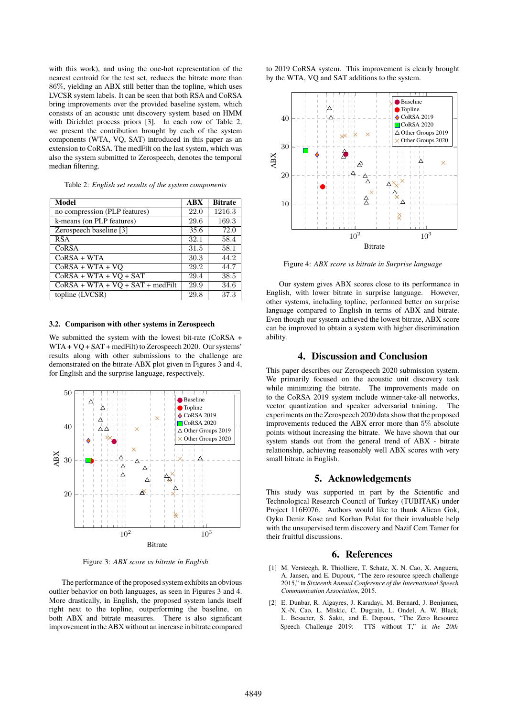with this work), and using the one-hot representation of the nearest centroid for the test set, reduces the bitrate more than 86%, yielding an ABX still better than the topline, which uses LVCSR system labels. It can be seen that both RSA and CoRSA bring improvements over the provided baseline system, which consists of an acoustic unit discovery system based on HMM with Dirichlet process priors [3]. In each row of Table 2, we present the contribution brought by each of the system components (WTA, VQ, SAT) introduced in this paper as an extension to CoRSA. The medFilt on the last system, which was also the system submitted to Zerospeech, denotes the temporal median filtering.

| Table 2: English set results of the system components |  |  |  |
|-------------------------------------------------------|--|--|--|
|-------------------------------------------------------|--|--|--|

| Model                              | <b>ABX</b> | <b>Bitrate</b> |
|------------------------------------|------------|----------------|
| no compression (PLP features)      | 22.0       | 1216.3         |
| k-means (on PLP features)          | 29.6       | 169.3          |
| Zerospeech baseline [3]            | 35.6       | 72.0           |
| <b>RSA</b>                         | 32.1       | 58.4           |
| CoRSA                              | 31.5       | 58.1           |
| $CoRSA + WTA$                      | 30.3       | 44.2           |
| $CoRSA + WTA + VQ$                 | 29.2       | 44.7           |
| $CoRSA + WTA + VQ + SAT$           | 29.4       | 38.5           |
| $CoRSA + WTA + VO + SAT + medFilt$ | 29.9       | 34.6           |
| topline (LVCSR)                    | 29.8       | 37.3           |

#### **3.2. Comparison with other systems in Zerospeech**

We submitted the system with the lowest bit-rate (CoRSA + WTA + VQ + SAT + medFilt) to Zerospeech 2020. Our systems' results along with other submissions to the challenge are demonstrated on the bitrate-ABX plot given in Figures 3 and 4, for English and the surprise language, respectively.



Figure 3: *ABX score vs bitrate in English*

The performance of the proposed system exhibits an obvious outlier behavior on both languages, as seen in Figures 3 and 4. More drastically, in English, the proposed system lands itself right next to the topline, outperforming the baseline, on both ABX and bitrate measures. There is also significant improvement in the ABX without an increase in bitrate compared

to 2019 CoRSA system. This improvement is clearly brought by the WTA, VQ and SAT additions to the system.



Figure 4: *ABX score vs bitrate in Surprise language*

Our system gives ABX scores close to its performance in English, with lower bitrate in surprise language. However, other systems, including topline, performed better on surprise language compared to English in terms of ABX and bitrate. Even though our system achieved the lowest bitrate, ABX score can be improved to obtain a system with higher discrimination ability.

## **4. Discussion and Conclusion**

This paper describes our Zerospeech 2020 submission system. We primarily focused on the acoustic unit discovery task while minimizing the bitrate. The improvements made on to the CoRSA 2019 system include winner-take-all networks, vector quantization and speaker adversarial training. The experiments on the Zerospeech 2020 data show that the proposed improvements reduced the ABX error more than 5% absolute points without increasing the bitrate. We have shown that our system stands out from the general trend of ABX - bitrate relationship, achieving reasonably well ABX scores with very small bitrate in English.

# **5. Acknowledgements**

This study was supported in part by the Scientific and Technological Research Council of Turkey (TUBITAK) under Project 116E076. Authors would like to thank Alican Gok, Oyku Deniz Kose and Korhan Polat for their invaluable help with the unsupervised term discovery and Nazif Cem Tamer for their fruitful discussions.

#### **6. References**

- [1] M. Versteegh, R. Thiolliere, T. Schatz, X. N. Cao, X. Anguera, A. Jansen, and E. Dupoux, "The zero resource speech challenge 2015," in *Sixteenth Annual Conference of the International Speech Communication Association*, 2015.
- [2] E. Dunbar, R. Algayres, J. Karadayi, M. Bernard, J. Benjumea, X.-N. Cao, L. Miskic, C. Dugrain, L. Ondel, A. W. Black, L. Besacier, S. Sakti, and E. Dupoux, "The Zero Resource Speech Challenge 2019: TTS without T," in *the 20th*